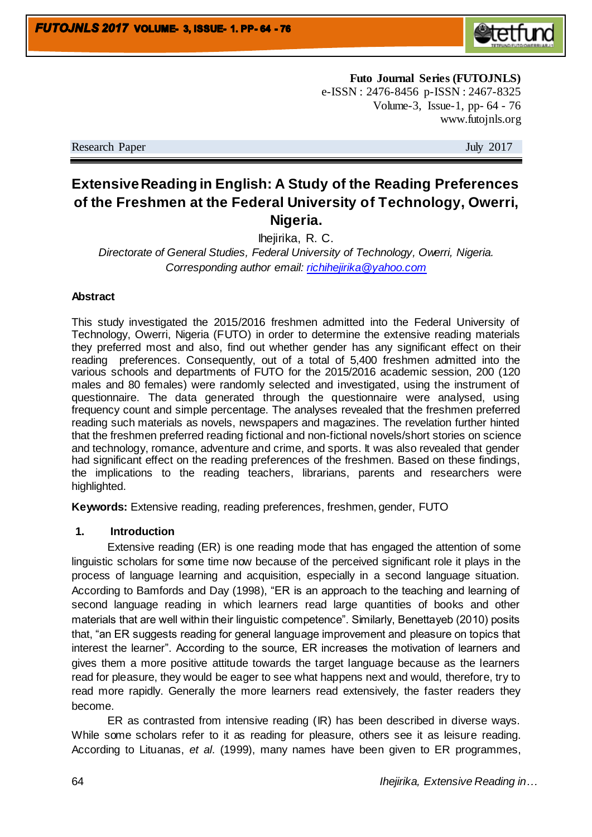

**Futo Journal Series (FUTOJNLS)** e-ISSN : 2476-8456 p-ISSN : 2467-8325 Volume-3, Issue-1, pp- 64 - 76 www.futojnls.org

Research Paper July 2017

# **Extensive Reading in English: A Study of the Reading Preferences of the Freshmen at the Federal University of Technology, Owerri, Nigeria.**

Ihejirika, R. C.

*Directorate of General Studies, Federal University of Technology, Owerri, Nigeria. Corresponding author email: [richihejirika@yahoo.com](mailto:richihejirika@yahoo.com)*

## **Abstract**

This study investigated the 2015/2016 freshmen admitted into the Federal University of Technology, Owerri, Nigeria (FUTO) in order to determine the extensive reading materials they preferred most and also, find out whether gender has any significant effect on their reading preferences. Consequently, out of a total of 5,400 freshmen admitted into the various schools and departments of FUTO for the 2015/2016 academic session, 200 (120 males and 80 females) were randomly selected and investigated, using the instrument of questionnaire. The data generated through the questionnaire were analysed, using frequency count and simple percentage. The analyses revealed that the freshmen preferred reading such materials as novels, newspapers and magazines. The revelation further hinted that the freshmen preferred reading fictional and non-fictional novels/short stories on science and technology, romance, adventure and crime, and sports. It was also revealed that gender had significant effect on the reading preferences of the freshmen. Based on these findings, the implications to the reading teachers, librarians, parents and researchers were highlighted.

**Keywords:** Extensive reading, reading preferences, freshmen, gender, FUTO

### **1. Introduction**

Extensive reading (ER) is one reading mode that has engaged the attention of some linguistic scholars for some time now because of the perceived significant role it plays in the process of language learning and acquisition, especially in a second language situation. According to Bamfords and Day (1998), "ER is an approach to the teaching and learning of second language reading in which learners read large quantities of books and other materials that are well within their linguistic competence". Similarly, Benettayeb (2010) posits that, "an ER suggests reading for general language improvement and pleasure on topics that interest the learner". According to the source, ER increases the motivation of learners and gives them a more positive attitude towards the target language because as the learners read for pleasure, they would be eager to see what happens next and would, therefore, try to read more rapidly. Generally the more learners read extensively, the faster readers they become.

ER as contrasted from intensive reading (IR) has been described in diverse ways. While some scholars refer to it as reading for pleasure, others see it as leisure reading. According to Lituanas, *et al*. (1999), many names have been given to ER programmes,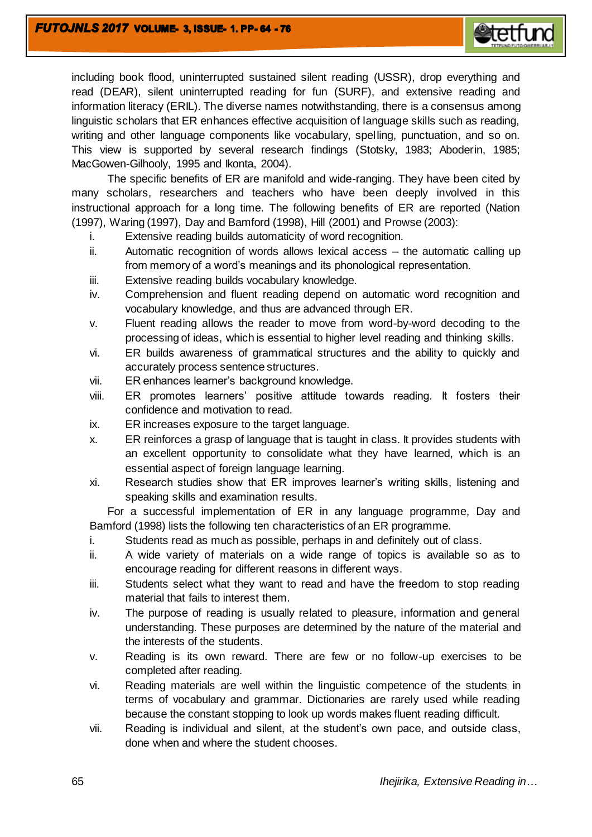

including book flood, uninterrupted sustained silent reading (USSR), drop everything and read (DEAR), silent uninterrupted reading for fun (SURF), and extensive reading and information literacy (ERIL). The diverse names notwithstanding, there is a consensus among linguistic scholars that ER enhances effective acquisition of language skills such as reading, writing and other language components like vocabulary, spelling, punctuation, and so on. This view is supported by several research findings (Stotsky, 1983; Aboderin, 1985; MacGowen-Gilhooly, 1995 and Ikonta, 2004).

The specific benefits of ER are manifold and wide-ranging. They have been cited by many scholars, researchers and teachers who have been deeply involved in this instructional approach for a long time. The following benefits of ER are reported (Nation (1997), Waring (1997), Day and Bamford (1998), Hill (2001) and Prowse (2003):

- i. Extensive reading builds automaticity of word recognition.
- ii. Automatic recognition of words allows lexical access the automatic calling up from memory of a word's meanings and its phonological representation.
- iii. Extensive reading builds vocabulary knowledge.
- iv. Comprehension and fluent reading depend on automatic word recognition and vocabulary knowledge, and thus are advanced through ER.
- v. Fluent reading allows the reader to move from word-by-word decoding to the processing of ideas, which is essential to higher level reading and thinking skills.
- vi. ER builds awareness of grammatical structures and the ability to quickly and accurately process sentence structures.
- vii. ER enhances learner's background knowledge.
- viii. ER promotes learners' positive attitude towards reading. It fosters their confidence and motivation to read.
- ix. ER increases exposure to the target language.
- x. ER reinforces a grasp of language that is taught in class. It provides students with an excellent opportunity to consolidate what they have learned, which is an essential aspect of foreign language learning.
- xi. Research studies show that ER improves learner's writing skills, listening and speaking skills and examination results.

For a successful implementation of ER in any language programme, Day and Bamford (1998) lists the following ten characteristics of an ER programme.

- i. Students read as much as possible, perhaps in and definitely out of class.
- ii. A wide variety of materials on a wide range of topics is available so as to encourage reading for different reasons in different ways.
- iii. Students select what they want to read and have the freedom to stop reading material that fails to interest them.
- iv. The purpose of reading is usually related to pleasure, information and general understanding. These purposes are determined by the nature of the material and the interests of the students.
- v. Reading is its own reward. There are few or no follow-up exercises to be completed after reading.
- vi. Reading materials are well within the linguistic competence of the students in terms of vocabulary and grammar. Dictionaries are rarely used while reading because the constant stopping to look up words makes fluent reading difficult.
- vii. Reading is individual and silent, at the student's own pace, and outside class, done when and where the student chooses.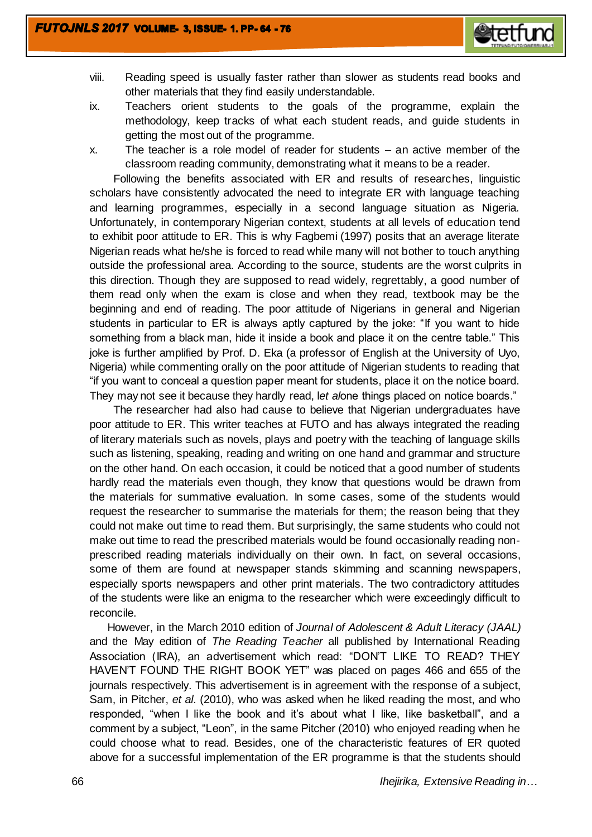

- viii. Reading speed is usually faster rather than slower as students read books and other materials that they find easily understandable.
- ix. Teachers orient students to the goals of the programme, explain the methodology, keep tracks of what each student reads, and guide students in getting the most out of the programme.
- x. The teacher is a role model of reader for students an active member of the classroom reading community, demonstrating what it means to be a reader.

 Following the benefits associated with ER and results of researches, linguistic scholars have consistently advocated the need to integrate ER with language teaching and learning programmes, especially in a second language situation as Nigeria. Unfortunately, in contemporary Nigerian context, students at all levels of education tend to exhibit poor attitude to ER. This is why Fagbemi (1997) posits that an average literate Nigerian reads what he/she is forced to read while many will not bother to touch anything outside the professional area. According to the source, students are the worst culprits in this direction. Though they are supposed to read widely, regrettably, a good number of them read only when the exam is close and when they read, textbook may be the beginning and end of reading. The poor attitude of Nigerians in general and Nigerian students in particular to ER is always aptly captured by the joke: "If you want to hide something from a black man, hide it inside a book and place it on the centre table." This joke is further amplified by Prof. D. Eka (a professor of English at the University of Uyo, Nigeria) while commenting orally on the poor attitude of Nigerian students to reading that "if you want to conceal a question paper meant for students, place it on the notice board. They may not see it because they hardly read, l*et al*one things placed on notice boards."

 The researcher had also had cause to believe that Nigerian undergraduates have poor attitude to ER. This writer teaches at FUTO and has always integrated the reading of literary materials such as novels, plays and poetry with the teaching of language skills such as listening, speaking, reading and writing on one hand and grammar and structure on the other hand. On each occasion, it could be noticed that a good number of students hardly read the materials even though, they know that questions would be drawn from the materials for summative evaluation. In some cases, some of the students would request the researcher to summarise the materials for them; the reason being that they could not make out time to read them. But surprisingly, the same students who could not make out time to read the prescribed materials would be found occasionally reading nonprescribed reading materials individually on their own. In fact, on several occasions, some of them are found at newspaper stands skimming and scanning newspapers, especially sports newspapers and other print materials. The two contradictory attitudes of the students were like an enigma to the researcher which were exceedingly difficult to reconcile.

However, in the March 2010 edition of *Journal of Adolescent & Adult Literacy (JAAL)*  and the May edition of *The Reading Teacher* all published by International Reading Association (IRA), an advertisement which read: "DON'T LIKE TO READ? THEY HAVEN'T FOUND THE RIGHT BOOK YET" was placed on pages 466 and 655 of the journals respectively. This advertisement is in agreement with the response of a subject, Sam, in Pitcher, *et al*. (2010), who was asked when he liked reading the most, and who responded, "when I like the book and it's about what I like, like basketball", and a comment by a subject, "Leon", in the same Pitcher (2010) who enjoyed reading when he could choose what to read. Besides, one of the characteristic features of ER quoted above for a successful implementation of the ER programme is that the students should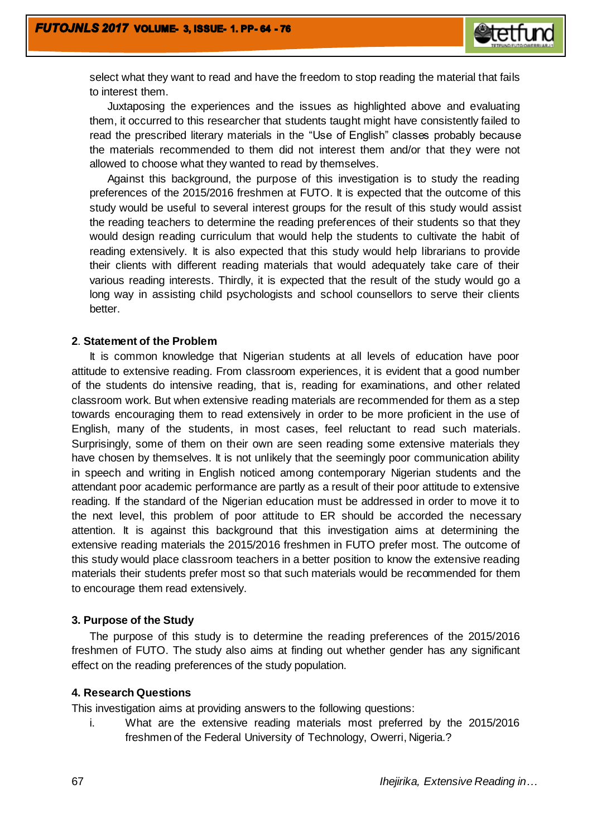

select what they want to read and have the freedom to stop reading the material that fails to interest them.

Juxtaposing the experiences and the issues as highlighted above and evaluating them, it occurred to this researcher that students taught might have consistently failed to read the prescribed literary materials in the "Use of English" classes probably because the materials recommended to them did not interest them and/or that they were not allowed to choose what they wanted to read by themselves.

Against this background, the purpose of this investigation is to study the reading preferences of the 2015/2016 freshmen at FUTO. It is expected that the outcome of this study would be useful to several interest groups for the result of this study would assist the reading teachers to determine the reading preferences of their students so that they would design reading curriculum that would help the students to cultivate the habit of reading extensively. It is also expected that this study would help librarians to provide their clients with different reading materials that would adequately take care of their various reading interests. Thirdly, it is expected that the result of the study would go a long way in assisting child psychologists and school counsellors to serve their clients better.

#### **2**. **Statement of the Problem**

It is common knowledge that Nigerian students at all levels of education have poor attitude to extensive reading. From classroom experiences, it is evident that a good number of the students do intensive reading, that is, reading for examinations, and other related classroom work. But when extensive reading materials are recommended for them as a step towards encouraging them to read extensively in order to be more proficient in the use of English, many of the students, in most cases, feel reluctant to read such materials. Surprisingly, some of them on their own are seen reading some extensive materials they have chosen by themselves. It is not unlikely that the seemingly poor communication ability in speech and writing in English noticed among contemporary Nigerian students and the attendant poor academic performance are partly as a result of their poor attitude to extensive reading. If the standard of the Nigerian education must be addressed in order to move it to the next level, this problem of poor attitude to ER should be accorded the necessary attention. It is against this background that this investigation aims at determining the extensive reading materials the 2015/2016 freshmen in FUTO prefer most. The outcome of this study would place classroom teachers in a better position to know the extensive reading materials their students prefer most so that such materials would be recommended for them to encourage them read extensively.

### **3. Purpose of the Study**

The purpose of this study is to determine the reading preferences of the 2015/2016 freshmen of FUTO. The study also aims at finding out whether gender has any significant effect on the reading preferences of the study population.

### **4. Research Questions**

This investigation aims at providing answers to the following questions:

i. What are the extensive reading materials most preferred by the 2015/2016 freshmen of the Federal University of Technology, Owerri, Nigeria.?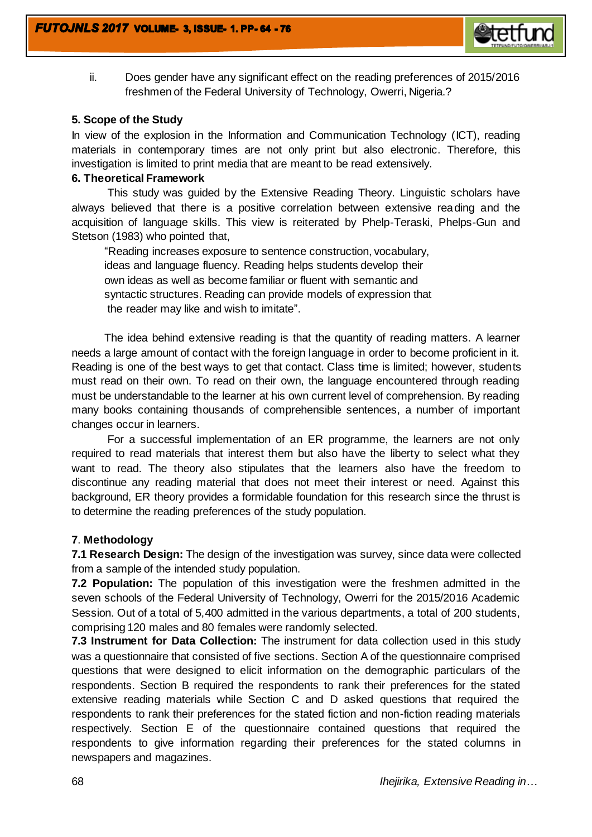

ii. Does gender have any significant effect on the reading preferences of 2015/2016 freshmen of the Federal University of Technology, Owerri, Nigeria.?

# **5. Scope of the Study**

In view of the explosion in the Information and Communication Technology (ICT), reading materials in contemporary times are not only print but also electronic. Therefore, this investigation is limited to print media that are meant to be read extensively.

# **6. Theoretical Framework**

This study was guided by the Extensive Reading Theory. Linguistic scholars have always believed that there is a positive correlation between extensive reading and the acquisition of language skills. This view is reiterated by Phelp-Teraski, Phelps-Gun and Stetson (1983) who pointed that,

"Reading increases exposure to sentence construction, vocabulary, ideas and language fluency. Reading helps students develop their own ideas as well as become familiar or fluent with semantic and syntactic structures. Reading can provide models of expression that the reader may like and wish to imitate".

The idea behind extensive reading is that the quantity of reading matters. A learner needs a large amount of contact with the foreign language in order to become proficient in it. Reading is one of the best ways to get that contact. Class time is limited; however, students must read on their own. To read on their own, the language encountered through reading must be understandable to the learner at his own current level of comprehension. By reading many books containing thousands of comprehensible sentences, a number of important changes occur in learners.

For a successful implementation of an ER programme, the learners are not only required to read materials that interest them but also have the liberty to select what they want to read. The theory also stipulates that the learners also have the freedom to discontinue any reading material that does not meet their interest or need. Against this background, ER theory provides a formidable foundation for this research since the thrust is to determine the reading preferences of the study population.

# **7**. **Methodology**

**7.1 Research Design:** The design of the investigation was survey, since data were collected from a sample of the intended study population.

**7.2 Population:** The population of this investigation were the freshmen admitted in the seven schools of the Federal University of Technology, Owerri for the 2015/2016 Academic Session. Out of a total of 5,400 admitted in the various departments, a total of 200 students, comprising 120 males and 80 females were randomly selected.

**7.3 Instrument for Data Collection:** The instrument for data collection used in this study was a questionnaire that consisted of five sections. Section A of the questionnaire comprised questions that were designed to elicit information on the demographic particulars of the respondents. Section B required the respondents to rank their preferences for the stated extensive reading materials while Section C and D asked questions that required the respondents to rank their preferences for the stated fiction and non-fiction reading materials respectively. Section E of the questionnaire contained questions that required the respondents to give information regarding their preferences for the stated columns in newspapers and magazines.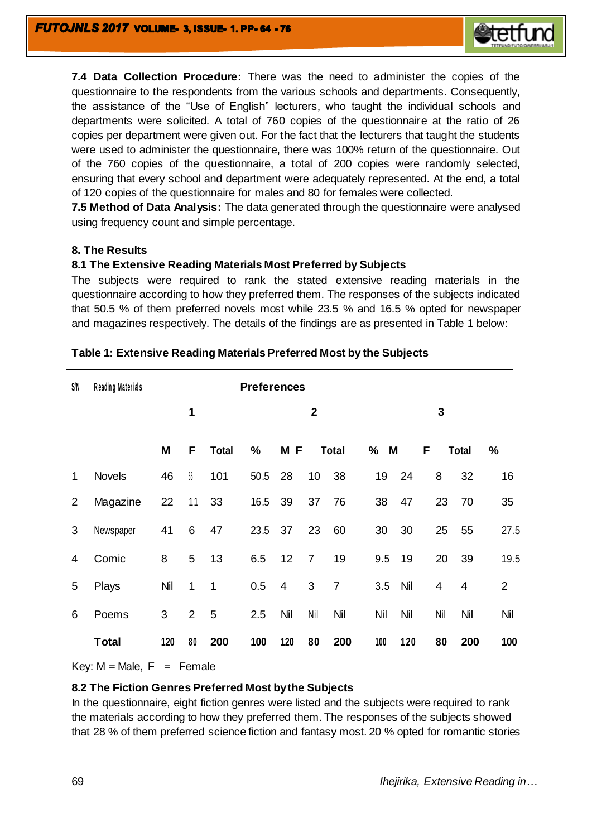

**7.4 Data Collection Procedure:** There was the need to administer the copies of the questionnaire to the respondents from the various schools and departments. Consequently, the assistance of the "Use of English" lecturers, who taught the individual schools and departments were solicited. A total of 760 copies of the questionnaire at the ratio of 26 copies per department were given out. For the fact that the lecturers that taught the students were used to administer the questionnaire, there was 100% return of the questionnaire. Out of the 760 copies of the questionnaire, a total of 200 copies were randomly selected, ensuring that every school and department were adequately represented. At the end, a total of 120 copies of the questionnaire for males and 80 for females were collected.

**7.5 Method of Data Analysis:** The data generated through the questionnaire were analysed using frequency count and simple percentage.

## **8. The Results**

## **8.1 The Extensive Reading Materials Most Preferred by Subjects**

The subjects were required to rank the stated extensive reading materials in the questionnaire according to how they preferred them. The responses of the subjects indicated that 50.5 % of them preferred novels most while 23.5 % and 16.5 % opted for newspaper and magazines respectively. The details of the findings are as presented in Table 1 below:

| S/N | Reading Materials | <b>Preferences</b> |                |              |      |                |                |                |        |     |     |                |                |
|-----|-------------------|--------------------|----------------|--------------|------|----------------|----------------|----------------|--------|-----|-----|----------------|----------------|
|     |                   |                    | 1              |              |      |                | $\mathbf{2}$   |                |        |     | 3   |                |                |
|     |                   | M                  | F              | <b>Total</b> | $\%$ | M F            |                | <b>Total</b>   | M<br>% |     | F   | <b>Total</b>   | $\%$           |
| 1   | <b>Novels</b>     | 46                 | $55\,$         | 101          | 50.5 | 28             | 10             | 38             | 19     | 24  | 8   | 32             | 16             |
| 2   | Magazine          | 22                 | 11             | 33           | 16.5 | 39             | 37             | 76             | 38     | 47  | 23  | 70             | 35             |
| 3   | Newspaper         | 41                 | 6              | 47           | 23.5 | 37             | 23             | 60             | 30     | 30  | 25  | 55             | 27.5           |
| 4   | Comic             | 8                  | 5              | 13           | 6.5  | 12             | $\overline{7}$ | 19             | 9.5    | 19  | 20  | 39             | 19.5           |
| 5   | Plays             | Nil                | $\mathbf 1$    | $\mathbf 1$  | 0.5  | $\overline{4}$ | 3              | $\overline{7}$ | 3.5    | Nil | 4   | $\overline{4}$ | $\overline{2}$ |
| 6   | Poems             | 3                  | $\overline{2}$ | 5            | 2.5  | Nil            | Nil            | Nil            | Nil    | Nil | Nil | Nil            | Nil            |
|     | <b>Total</b>      | 120                | 80             | 200          | 100  | 120            | 80             | 200            | 100    | 120 | 80  | 200            | 100            |

# **Table 1: Extensive Reading Materials Preferred Most by the Subjects**

Key:  $M = Male$ ,  $F = Female$ 

# **8.2 The Fiction Genres Preferred Most by the Subjects**

In the questionnaire, eight fiction genres were listed and the subjects were required to rank the materials according to how they preferred them. The responses of the subjects showed that 28 % of them preferred science fiction and fantasy most. 20 % opted for romantic stories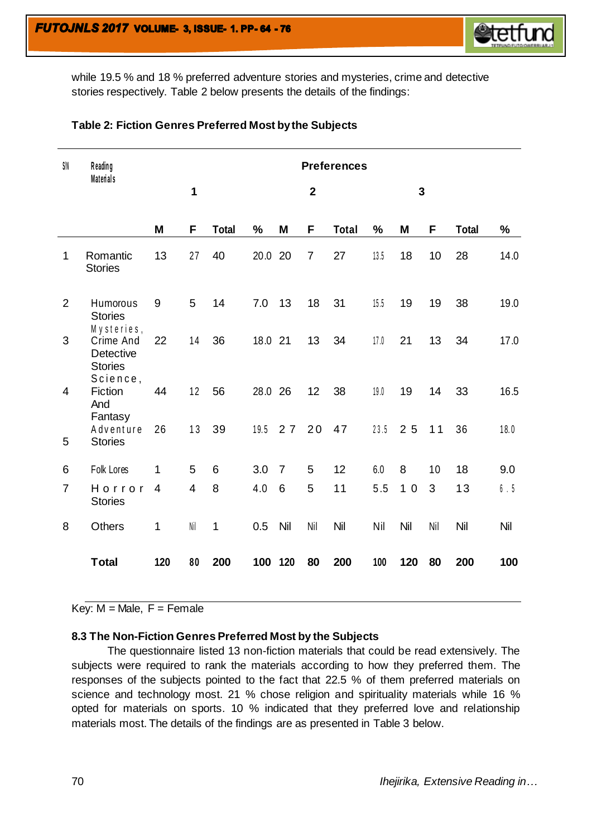

while 19.5 % and 18 % preferred adventure stories and mysteries, crime and detective stories respectively. Table 2 below presents the details of the findings:

| SIN            | Reading<br><b>Materials</b>                                               | <b>Preferences</b> |     |              |               |                |                |              |               |                |     |              |               |
|----------------|---------------------------------------------------------------------------|--------------------|-----|--------------|---------------|----------------|----------------|--------------|---------------|----------------|-----|--------------|---------------|
|                |                                                                           |                    | 1   |              |               |                | $\mathbf{2}$   |              |               | $\overline{3}$ |     |              |               |
|                |                                                                           | M                  | F   | <b>Total</b> | $\frac{1}{2}$ | M              | F              | <b>Total</b> | $\frac{0}{0}$ | M              | F   | <b>Total</b> | $\frac{9}{6}$ |
| 1              | Romantic<br><b>Stories</b>                                                | 13                 | 27  | 40           | 20.0          | 20             | $\overline{7}$ | 27           | 13.5          | 18             | 10  | 28           | 14.0          |
| $\overline{2}$ | Humorous<br><b>Stories</b>                                                | 9                  | 5   | 14           | 7.0           | 13             | 18             | 31           | 15.5          | 19             | 19  | 38           | 19.0          |
| 3              | Mysteries,<br>Crime And<br><b>Detective</b><br><b>Stories</b><br>Science, | 22                 | 14  | 36           | 18.0          | 21             | 13             | 34           | 17.0          | 21             | 13  | 34           | 17.0          |
| 4              | Fiction<br>And<br>Fantasy                                                 | 44                 | 12  | 56           | 28.0 26       |                | 12             | 38           | 19.0          | 19             | 14  | 33           | 16.5          |
| 5              | Adventure<br><b>Stories</b>                                               | 26                 | 13  | 39           | 19.5          | 27             | 20             | 47           | 23.5          | 25             | 11  | 36           | 18.0          |
| 6              | Folk Lores                                                                | 1                  | 5   | 6            | 3.0           | $\overline{7}$ | 5              | 12           | 6.0           | 8              | 10  | 18           | 9.0           |
| $\overline{7}$ | Horror<br><b>Stories</b>                                                  | $\overline{4}$     | 4   | 8            | 4.0           | 6              | 5              | 11           | 5.5           | 10             | 3   | 13           | 6.5           |
| 8              | <b>Others</b>                                                             | 1                  | Nil | 1            | 0.5           | Nil            | Nil            | Nil          | Nil           | Nil            | Nil | Nil          | Nil           |
|                | <b>Total</b>                                                              | 120                | 80  | 200          | 100           | 120            | 80             | 200          | 100           | 120            | 80  | 200          | 100           |

# **Table 2: Fiction Genres Preferred Most by the Subjects**

Key:  $M =$  Male,  $F =$  Female

# **8.3 The Non-Fiction Genres Preferred Most by the Subjects**

The questionnaire listed 13 non-fiction materials that could be read extensively. The subjects were required to rank the materials according to how they preferred them. The responses of the subjects pointed to the fact that 22.5 % of them preferred materials on science and technology most. 21 % chose religion and spirituality materials while 16 % opted for materials on sports. 10 % indicated that they preferred love and relationship materials most. The details of the findings are as presented in Table 3 below.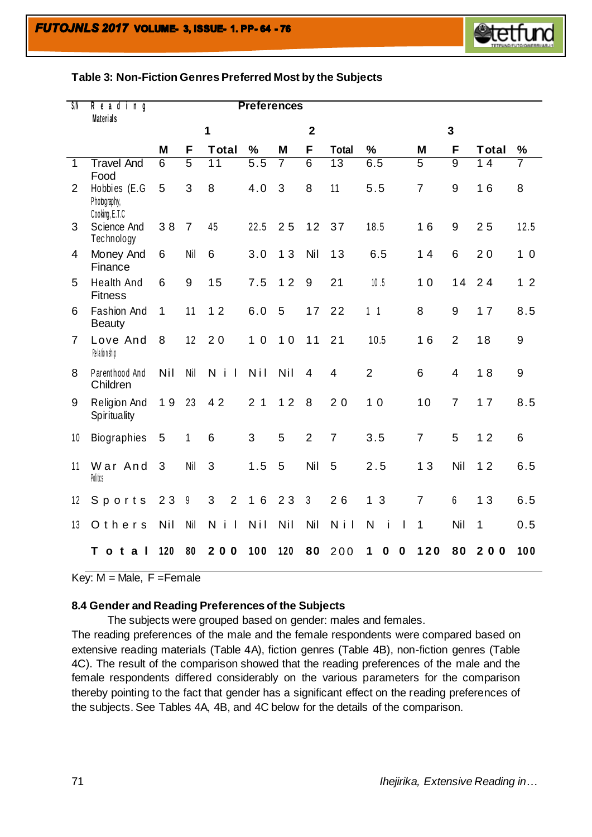# **Table 3: Non-Fiction Genres Preferred Most by the Subjects**

| SIN            | Reading<br><b>Materials</b>                    |                | <b>Preferences</b> |                                     |                                 |     |                |                 |                   |                |                |                                |                |
|----------------|------------------------------------------------|----------------|--------------------|-------------------------------------|---------------------------------|-----|----------------|-----------------|-------------------|----------------|----------------|--------------------------------|----------------|
|                |                                                |                |                    | 1                                   |                                 |     | $\mathbf 2$    |                 |                   |                | $\overline{3}$ |                                |                |
|                |                                                | M              | F                  | <b>Total</b>                        | $\%$                            | M   | F              | <b>Total</b>    | $\%$              | M              | F              | <b>Total</b>                   | $\%$           |
| $\mathbf{1}$   | <b>Travel And</b><br>Food                      | $\overline{6}$ | $\overline{5}$     | 11                                  | $\overline{5.5}$                | 7   | $\overline{6}$ | $\overline{13}$ | 6.5               | $\overline{5}$ | $\overline{9}$ | 14                             | 7              |
| 2              | Hobbies (E.G<br>Photography,<br>Cooking, E.T.C | 5              | 3                  | 8                                   | 4.0                             | 3   | 8              | 11              | 5.5               | $\overline{7}$ | 9              | 16                             | 8              |
| 3              | Science And<br>Technology                      | 38             | $\overline{7}$     | 45                                  | 22.5                            | 25  | 12             | 37              | 18.5              | 16             | 9              | 25                             | 12.5           |
| $\overline{4}$ | Money And<br>Finance                           | 6              | Nil                | 6                                   | 3.0                             | 13  | Nil            | 13              | 6.5               | 14             | 6              | 20                             | 1 <sub>0</sub> |
| 5              | <b>Health And</b><br><b>Fitness</b>            | 6              | 9                  | 15                                  | 7.5                             | 12  | $9\,$          | 21              | 10.5              | 10             | 14             | 24                             | 1 <sub>2</sub> |
| 6              | <b>Fashion And</b><br><b>Beauty</b>            | 1              | 11                 | 12                                  | 6.0                             | 5   | 17             | 22              | 1 <sub>1</sub>    | 8              | 9              | 17                             | 8.5            |
| $\overline{7}$ | Love And<br>Re la tion ship                    | 8              | 12                 | 20                                  | $\overline{0}$<br>$\mathbf 1$   | 10  | 11             | 21              | 10.5              | 16             | $\overline{2}$ | 18                             | 9              |
| 8              | Parenthood And<br>Children                     | Nil            | Nil                | N i<br>$\overline{\phantom{a}}$     | Nil                             | Nil | $\overline{4}$ | $\overline{4}$  | $\overline{2}$    | 6              | $\overline{4}$ | 18                             | 9              |
| 9              | Religion And<br>Spirituality                   | 19             | 23                 | 42                                  | 2 <sub>1</sub>                  | 12  | 8              | 20              | 10                | 10             | $\overline{7}$ | 17                             | 8.5            |
| 10             | <b>Biographies</b>                             | 5              | 1                  | 6                                   | 3                               | 5   | $\overline{2}$ | $\overline{7}$  | 3.5               | $\overline{7}$ | 5              | 12                             | 6              |
| 11             | War And<br>Politics                            | 3              | Nil                | 3                                   | 1.5                             | 5   | Nil            | 5               | 2.5               | 13             | Nil            | 12                             | 6.5            |
| 12             | Sports                                         | 23             | 9                  | 3<br>$\overline{2}$                 | $6\phantom{1}6$<br>$\mathbf{1}$ | 23  | 3              | 26              | 3<br>$\mathbf{1}$ | $\overline{7}$ | 6              | 13                             | 6.5            |
| 13             | Others                                         | Nil            | Nil                | N<br>j.<br>$\overline{\phantom{a}}$ | Nil                             | Nil | Nil            | N i I           | N<br>i<br>ı       | 1              | Nil            | 1                              | 0.5            |
|                | т<br>$\mathbf t$<br>$\mathbf{o}$<br>a<br>H     | 120            | 80                 | 200                                 | 100                             | 120 | 80             | 200             | 0<br>0<br>1       | 120            | 80             | $\mathbf{2}$<br>0 <sub>0</sub> | 100            |

Key:  $M = Male$ ,  $F = Female$ 

#### **8.4 Gender and Reading Preferences of the Subjects**

The subjects were grouped based on gender: males and females.

The reading preferences of the male and the female respondents were compared based on extensive reading materials (Table 4A), fiction genres (Table 4B), non-fiction genres (Table 4C). The result of the comparison showed that the reading preferences of the male and the female respondents differed considerably on the various parameters for the comparison thereby pointing to the fact that gender has a significant effect on the reading preferences of the subjects. See Tables 4A, 4B, and 4C below for the details of the comparison.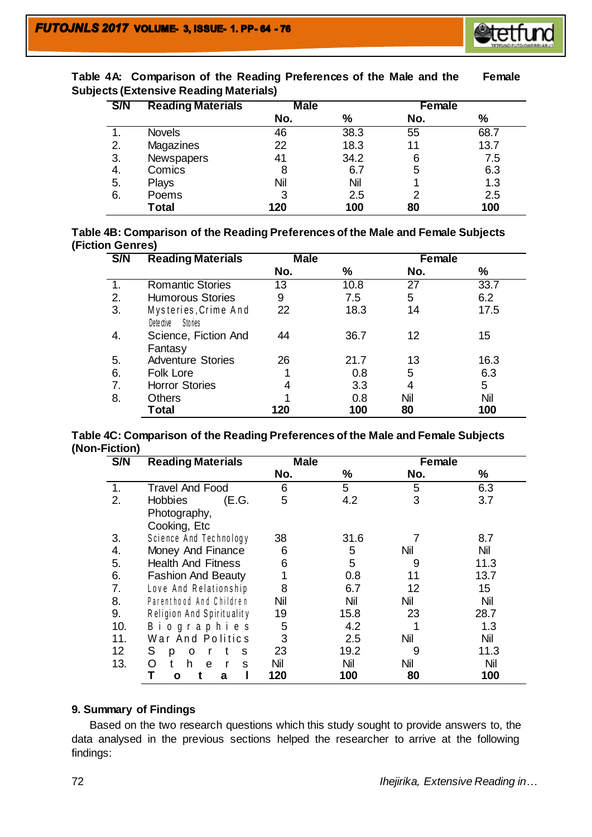

| <b>S/N</b> | <b>Reading Materials</b> | <b>Male</b> |      | Female |               |  |  |  |
|------------|--------------------------|-------------|------|--------|---------------|--|--|--|
|            |                          | No.         | %    | No.    | $\frac{9}{6}$ |  |  |  |
|            | <b>Novels</b>            | 46          | 38.3 | 55     | 68.7          |  |  |  |
| 2.         | Magazines                | 22          | 18.3 | 11     | 13.7          |  |  |  |
| 3.         | <b>Newspapers</b>        | 41          | 34.2 | 6      | 7.5           |  |  |  |
| 4.         | Comics                   | 8           | 6.7  | 5      | 6.3           |  |  |  |
| 5.         | Plays                    | Nil         | Nil  |        | 1.3           |  |  |  |
| 6.         | Poems                    | 3           | 2.5  | 2      | 2.5           |  |  |  |
|            | <b>Total</b>             | 120         | 100  | 80     | 100           |  |  |  |

**Table 4A: Comparison of the Reading Preferences of the Male and the Female Subjects (Extensive Reading Materials)**

|                         | Table 4B: Comparison of the Reading Preferences of the Male and Female Subjects |
|-------------------------|---------------------------------------------------------------------------------|
| <b>(Fiction Genres)</b> |                                                                                 |

| S/N | <b>Reading Materials</b>                       | <b>Male</b> |      | Female |      |  |  |
|-----|------------------------------------------------|-------------|------|--------|------|--|--|
|     |                                                | No.         | %    | No.    | $\%$ |  |  |
|     | <b>Romantic Stories</b>                        | 13          | 10.8 | 27     | 33.7 |  |  |
| 2.  | <b>Humorous Stories</b>                        | 9           | 7.5  | 5      | 6.2  |  |  |
| 3.  | Mysteries, Crime And<br>Dete ctive<br>Sto ries | 22          | 18.3 | 14     | 17.5 |  |  |
| 4.  | Science, Fiction And<br>Fantasy                | 44          | 36.7 | 12     | 15   |  |  |
| 5.  | <b>Adventure Stories</b>                       | 26          | 21.7 | 13     | 16.3 |  |  |
| 6.  | Folk Lore                                      | 1           | 0.8  | 5      | 6.3  |  |  |
| 7.  | <b>Horror Stories</b>                          | 4           | 3.3  | 4      | 5    |  |  |
| 8.  | <b>Others</b>                                  |             | 0.8  | Nil    | Nil  |  |  |
|     | Total                                          | 120         | 100  | 80     | 100  |  |  |

## **Table 4C: Comparison of the Reading Preferences of the Male and Female Subjects (Non-Fiction)**

| S/N | <b>Reading Materials</b>  | <b>Male</b> |      | Female |      |  |  |
|-----|---------------------------|-------------|------|--------|------|--|--|
|     |                           | No.         | %    | No.    | %    |  |  |
| 1.  | <b>Travel And Food</b>    | 6           | 5    | 5      | 6.3  |  |  |
| 2.  | <b>Hobbies</b><br>(E.G.   | 5           | 4.2  | 3      | 3.7  |  |  |
|     | Photography,              |             |      |        |      |  |  |
|     | Cooking, Etc              |             |      |        |      |  |  |
| 3.  | Science And Technology    | 38          | 31.6 |        | 8.7  |  |  |
| 4.  | Money And Finance         | 6           | 5    | Nil    | Nil  |  |  |
| 5.  | <b>Health And Fitness</b> | 6           | 5    | 9      | 11.3 |  |  |
| 6.  | <b>Fashion And Beauty</b> |             | 0.8  | 11     | 13.7 |  |  |
| 7.  | Love And Relationship     | 8           | 6.7  | 12     | 15   |  |  |
| 8.  | Parenthood And Children   | Nil         | Nil  | Nil    | Nil  |  |  |
| 9.  | Religion And Spirituality | 19          | 15.8 | 23     | 28.7 |  |  |
| 10. | <b>Biographies</b>        | 5           | 4.2  |        | 1.3  |  |  |
| 11. | War And Politics          | 3           | 2.5  | Nil    | Nil  |  |  |
| 12  | S<br>S<br>p<br>0          | 23          | 19.2 | 9      | 11.3 |  |  |
| 13. | O<br>h<br>e<br>S          | Nil         | Nil  | Nil    | Nil  |  |  |
|     | Т<br>a<br>O               | 120         | 100  | 80     | 100  |  |  |

# **9. Summary of Findings**

Based on the two research questions which this study sought to provide answers to, the data analysed in the previous sections helped the researcher to arrive at the following findings: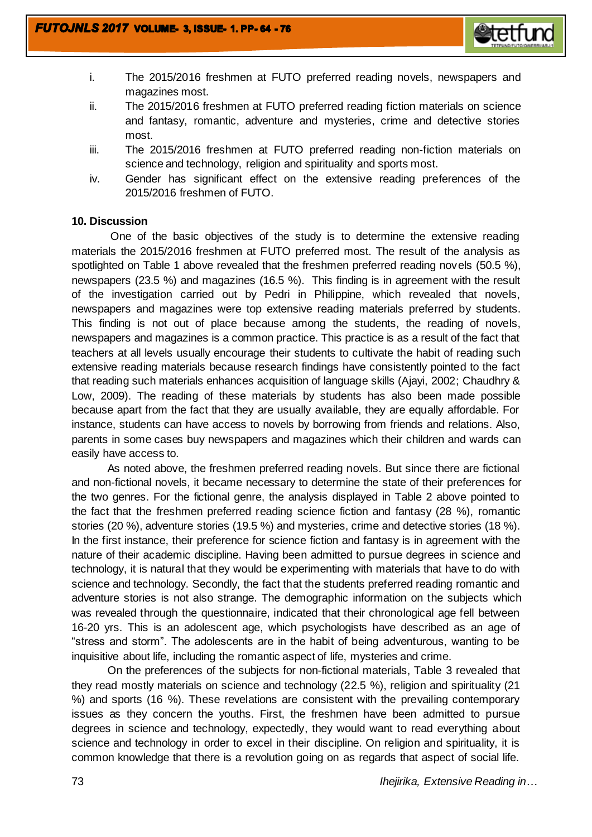

- i. The 2015/2016 freshmen at FUTO preferred reading novels, newspapers and magazines most.
- ii. The 2015/2016 freshmen at FUTO preferred reading fiction materials on science and fantasy, romantic, adventure and mysteries, crime and detective stories most.
- iii. The 2015/2016 freshmen at FUTO preferred reading non-fiction materials on science and technology, religion and spirituality and sports most.
- iv. Gender has significant effect on the extensive reading preferences of the 2015/2016 freshmen of FUTO.

# **10. Discussion**

 One of the basic objectives of the study is to determine the extensive reading materials the 2015/2016 freshmen at FUTO preferred most. The result of the analysis as spotlighted on Table 1 above revealed that the freshmen preferred reading novels (50.5 %), newspapers (23.5 %) and magazines (16.5 %). This finding is in agreement with the result of the investigation carried out by Pedri in Philippine, which revealed that novels, newspapers and magazines were top extensive reading materials preferred by students. This finding is not out of place because among the students, the reading of novels, newspapers and magazines is a common practice. This practice is as a result of the fact that teachers at all levels usually encourage their students to cultivate the habit of reading such extensive reading materials because research findings have consistently pointed to the fact that reading such materials enhances acquisition of language skills (Ajayi, 2002; Chaudhry & Low, 2009). The reading of these materials by students has also been made possible because apart from the fact that they are usually available, they are equally affordable. For instance, students can have access to novels by borrowing from friends and relations. Also, parents in some cases buy newspapers and magazines which their children and wards can easily have access to.

As noted above, the freshmen preferred reading novels. But since there are fictional and non-fictional novels, it became necessary to determine the state of their preferences for the two genres. For the fictional genre, the analysis displayed in Table 2 above pointed to the fact that the freshmen preferred reading science fiction and fantasy (28 %), romantic stories (20 %), adventure stories (19.5 %) and mysteries, crime and detective stories (18 %). In the first instance, their preference for science fiction and fantasy is in agreement with the nature of their academic discipline. Having been admitted to pursue degrees in science and technology, it is natural that they would be experimenting with materials that have to do with science and technology. Secondly, the fact that the students preferred reading romantic and adventure stories is not also strange. The demographic information on the subjects which was revealed through the questionnaire, indicated that their chronological age fell between 16-20 yrs. This is an adolescent age, which psychologists have described as an age of "stress and storm". The adolescents are in the habit of being adventurous, wanting to be inquisitive about life, including the romantic aspect of life, mysteries and crime.

On the preferences of the subjects for non-fictional materials, Table 3 revealed that they read mostly materials on science and technology (22.5 %), religion and spirituality (21 %) and sports (16 %). These revelations are consistent with the prevailing contemporary issues as they concern the youths. First, the freshmen have been admitted to pursue degrees in science and technology, expectedly, they would want to read everything about science and technology in order to excel in their discipline. On religion and spirituality, it is common knowledge that there is a revolution going on as regards that aspect of social life.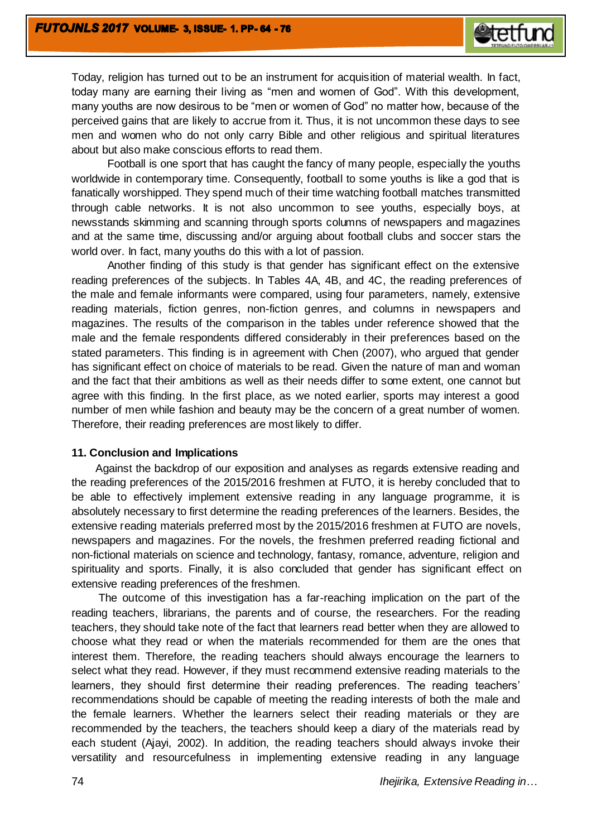

Today, religion has turned out to be an instrument for acquisition of material wealth. In fact, today many are earning their living as "men and women of God". With this development, many youths are now desirous to be "men or women of God" no matter how, because of the perceived gains that are likely to accrue from it. Thus, it is not uncommon these days to see men and women who do not only carry Bible and other religious and spiritual literatures about but also make conscious efforts to read them.

Football is one sport that has caught the fancy of many people, especially the youths worldwide in contemporary time. Consequently, football to some youths is like a god that is fanatically worshipped. They spend much of their time watching football matches transmitted through cable networks. It is not also uncommon to see youths, especially boys, at newsstands skimming and scanning through sports columns of newspapers and magazines and at the same time, discussing and/or arguing about football clubs and soccer stars the world over. In fact, many youths do this with a lot of passion.

Another finding of this study is that gender has significant effect on the extensive reading preferences of the subjects. In Tables 4A, 4B, and 4C, the reading preferences of the male and female informants were compared, using four parameters, namely, extensive reading materials, fiction genres, non-fiction genres, and columns in newspapers and magazines. The results of the comparison in the tables under reference showed that the male and the female respondents differed considerably in their preferences based on the stated parameters. This finding is in agreement with Chen (2007), who argued that gender has significant effect on choice of materials to be read. Given the nature of man and woman and the fact that their ambitions as well as their needs differ to some extent, one cannot but agree with this finding. In the first place, as we noted earlier, sports may interest a good number of men while fashion and beauty may be the concern of a great number of women. Therefore, their reading preferences are most likely to differ.

#### **11. Conclusion and Implications**

 Against the backdrop of our exposition and analyses as regards extensive reading and the reading preferences of the 2015/2016 freshmen at FUTO, it is hereby concluded that to be able to effectively implement extensive reading in any language programme, it is absolutely necessary to first determine the reading preferences of the learners. Besides, the extensive reading materials preferred most by the 2015/2016 freshmen at FUTO are novels, newspapers and magazines. For the novels, the freshmen preferred reading fictional and non-fictional materials on science and technology, fantasy, romance, adventure, religion and spirituality and sports. Finally, it is also concluded that gender has significant effect on extensive reading preferences of the freshmen.

 The outcome of this investigation has a far-reaching implication on the part of the reading teachers, librarians, the parents and of course, the researchers. For the reading teachers, they should take note of the fact that learners read better when they are allowed to choose what they read or when the materials recommended for them are the ones that interest them. Therefore, the reading teachers should always encourage the learners to select what they read. However, if they must recommend extensive reading materials to the learners, they should first determine their reading preferences. The reading teachers' recommendations should be capable of meeting the reading interests of both the male and the female learners. Whether the learners select their reading materials or they are recommended by the teachers, the teachers should keep a diary of the materials read by each student (Ajayi, 2002). In addition, the reading teachers should always invoke their versatility and resourcefulness in implementing extensive reading in any language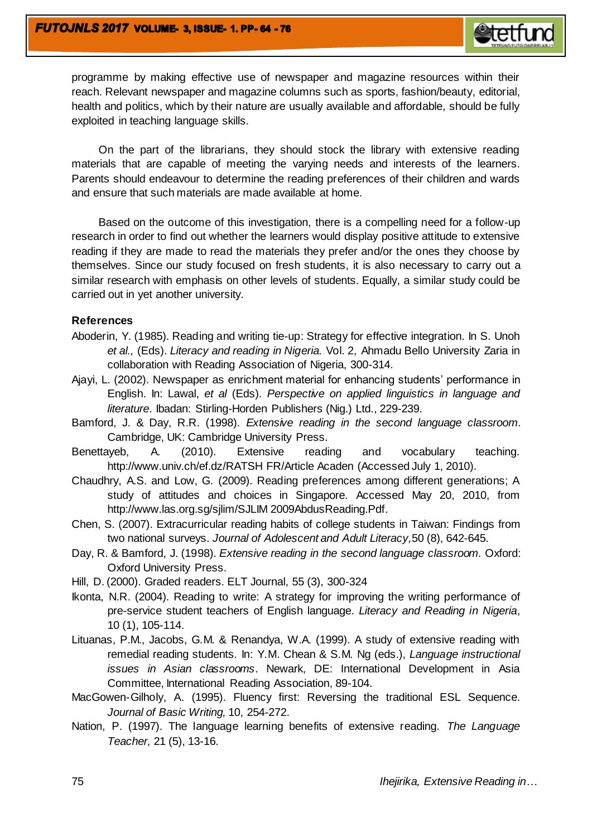

programme by making effective use of newspaper and magazine resources within their reach. Relevant newspaper and magazine columns such as sports, fashion/beauty, editorial, health and politics, which by their nature are usually available and affordable, should be fully exploited in teaching language skills.

 On the part of the librarians, they should stock the library with extensive reading materials that are capable of meeting the varying needs and interests of the learners. Parents should endeavour to determine the reading preferences of their children and wards and ensure that such materials are made available at home.

 Based on the outcome of this investigation, there is a compelling need for a follow-up research in order to find out whether the learners would display positive attitude to extensive reading if they are made to read the materials they prefer and/or the ones they choose by themselves. Since our study focused on fresh students, it is also necessary to carry out a similar research with emphasis on other levels of students. Equally, a similar study could be carried out in yet another university.

### **References**

- Aboderin, Y. (1985). Reading and writing tie-up: Strategy for effective integration. In S. Unoh *et al.,* (Eds). *Literacy and reading in Nigeria.* Vol. 2, Ahmadu Bello University Zaria in collaboration with Reading Association of Nigeria, 300-314.
- Ajayi, L. (2002). Newspaper as enrichment material for enhancing students' performance in English. In: Lawal, *et al* (Eds). *Perspective on applied linguistics in language and literature*. Ibadan: Stirling-Horden Publishers (Nig.) Ltd., 229-239.
- Bamford, J. & Day, R.R. (1998). *Extensive reading in the second language classroom.*  Cambridge, UK: Cambridge University Press.
- Benettayeb, A. (2010). Extensive reading and vocabulary teaching. <http://www.univ.ch/ef.dz/RATSH> FR/Article Acaden (Accessed July 1, 2010).
- Chaudhry, A.S. and Low, G. (2009). Reading preferences among different generations; A study of attitudes and choices in Singapore. Accessed May 20, 2010, from [http://www.las.org.sg/sjlim/SJLIM 2009AbdusReading.Pdf.](http://www.las.org.sg/sjlim/SJLIM%202009AbdusReading.Pdf)
- Chen, S. (2007). Extracurricular reading habits of college students in Taiwan: Findings from two national surveys. *Journal of Adolescent and Adult Literacy,*50 (8), 642-645.
- Day, R. & Bamford, J. (1998). *Extensive reading in the second language classroom.* Oxford: Oxford University Press.
- Hill, D. (2000). Graded readers. ELT Journal, 55 (3), 300-324
- Ikonta, N.R. (2004). Reading to write: A strategy for improving the writing performance of pre-service student teachers of English language. *Literacy and Reading in Nigeria*, 10 (1), 105-114.
- Lituanas, P.M., Jacobs, G.M. & Renandya, W.A. (1999). A study of extensive reading with remedial reading students. In: Y.M. Chean & S.M. Ng (eds.), *Language instructional issues in Asian classrooms*. Newark, DE: International Development in Asia Committee, International Reading Association, 89-104.
- MacGowen-Gilholy, A. (1995). Fluency first: Reversing the traditional ESL Sequence. *Journal of Basic Writing,* 10, 254-272.
- Nation, P. (1997). The language learning benefits of extensive reading. *The Language Teacher,* 21 (5), 13-16.